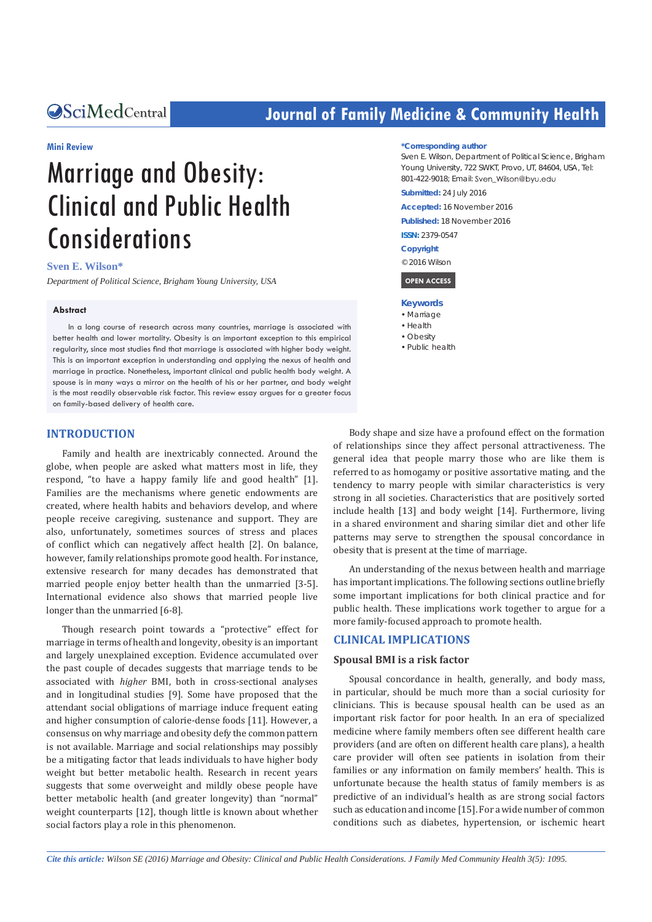# **CALCERT CONFIDENTIAL CONTROLLER COMMUNITY Health**

#### **Mini Review**

# Marriage and Obesity: Clinical and Public Health **Considerations**

#### **Sven E. Wilson\***

*Department of Political Science, Brigham Young University, USA*

#### **Abstract**

In a long course of research across many countries, marriage is associated with better health and lower mortality. Obesity is an important exception to this empirical regularity, since most studies find that marriage is associated with higher body weight. This is an important exception in understanding and applying the nexus of health and marriage in practice. Nonetheless, important clinical and public health body weight. A spouse is in many ways a mirror on the health of his or her partner, and body weight is the most readily observable risk factor. This review essay argues for a greater focus on family-based delivery of health care.

#### **INTRODUCTION**

Family and health are inextricably connected. Around the globe, when people are asked what matters most in life, they respond, "to have a happy family life and good health" [1]. Families are the mechanisms where genetic endowments are created, where health habits and behaviors develop, and where people receive caregiving, sustenance and support. They are also, unfortunately, sometimes sources of stress and places of conflict which can negatively affect health [2]. On balance, however, family relationships promote good health. For instance, extensive research for many decades has demonstrated that married people enjoy better health than the unmarried [3-5]. International evidence also shows that married people live longer than the unmarried [6-8].

Though research point towards a "protective" effect for marriage in terms of health and longevity, obesity is an important and largely unexplained exception. Evidence accumulated over the past couple of decades suggests that marriage tends to be associated with *higher* BMI, both in cross-sectional analyses and in longitudinal studies [9]. Some have proposed that the attendant social obligations of marriage induce frequent eating and higher consumption of calorie-dense foods [11]. However, a consensus on why marriage and obesity defy the common pattern is not available. Marriage and social relationships may possibly be a mitigating factor that leads individuals to have higher body weight but better metabolic health. Research in recent years suggests that some overweight and mildly obese people have better metabolic health (and greater longevity) than "normal" weight counterparts [12], though little is known about whether social factors play a role in this phenomenon.

#### **\*Corresponding author**

Sven E. Wilson, Department of Political Science, Brigham Young University, 722 SWKT, Provo, UT, 84604, USA, Tel: 801-422-9018; Email: Sven Wilson@byu.edu

**Submitted:** 24 July 2016

**Accepted:** 16 November 2016

**Published:** 18 November 2016

**ISSN:** 2379-0547

#### **Copyright**

© 2016 Wilson

 **OPEN ACCESS** 

#### **Keywords**

- Marriage
- • Health
- • Obesity
- • Public health

Body shape and size have a profound effect on the formation of relationships since they affect personal attractiveness. The general idea that people marry those who are like them is referred to as homogamy or positive assortative mating, and the tendency to marry people with similar characteristics is very strong in all societies. Characteristics that are positively sorted include health [13] and body weight [14]. Furthermore, living in a shared environment and sharing similar diet and other life patterns may serve to strengthen the spousal concordance in obesity that is present at the time of marriage.

An understanding of the nexus between health and marriage has important implications. The following sections outline briefly some important implications for both clinical practice and for public health. These implications work together to argue for a more family-focused approach to promote health.

# **CLINICAL IMPLICATIONS**

#### **Spousal BMI is a risk factor**

Spousal concordance in health, generally, and body mass, in particular, should be much more than a social curiosity for clinicians. This is because spousal health can be used as an important risk factor for poor health. In an era of specialized medicine where family members often see different health care providers (and are often on different health care plans), a health care provider will often see patients in isolation from their families or any information on family members' health. This is unfortunate because the health status of family members is as predictive of an individual's health as are strong social factors such as education and income [15]. For a wide number of common conditions such as diabetes, hypertension, or ischemic heart

*Cite this article: Wilson SE (2016) Marriage and Obesity: Clinical and Public Health Considerations. J Family Med Community Health 3(5): 1095.*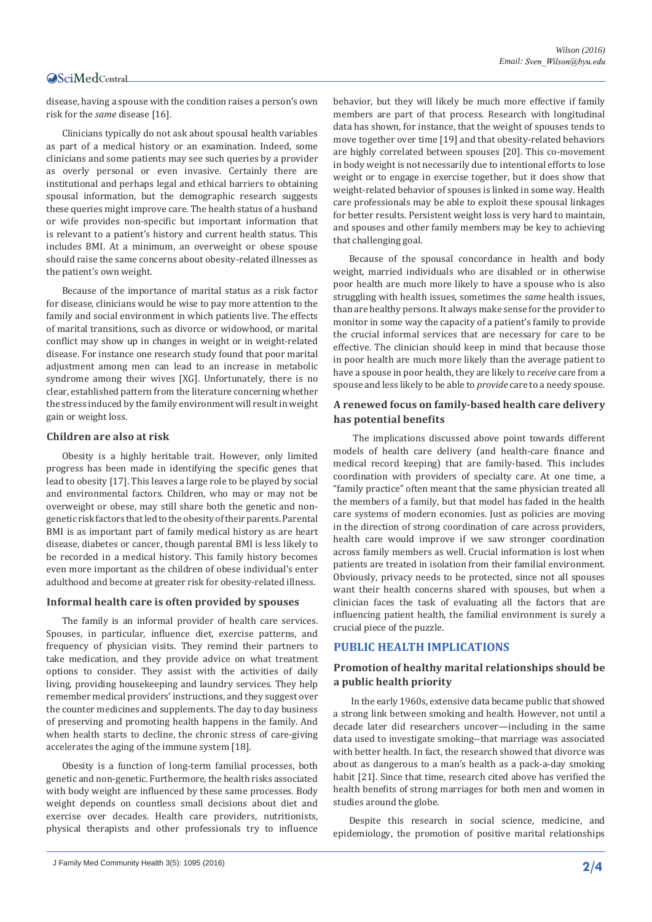# **OSciMedCentral**

disease, having a spouse with the condition raises a person's own risk for the *same* disease [16].

Clinicians typically do not ask about spousal health variables as part of a medical history or an examination. Indeed, some clinicians and some patients may see such queries by a provider as overly personal or even invasive. Certainly there are institutional and perhaps legal and ethical barriers to obtaining spousal information, but the demographic research suggests these queries might improve care. The health status of a husband or wife provides non-specific but important information that is relevant to a patient's history and current health status. This includes BMI. At a minimum, an overweight or obese spouse should raise the same concerns about obesity-related illnesses as the patient's own weight.

Because of the importance of marital status as a risk factor for disease, clinicians would be wise to pay more attention to the family and social environment in which patients live. The effects of marital transitions, such as divorce or widowhood, or marital conflict may show up in changes in weight or in weight-related disease. For instance one research study found that poor marital adjustment among men can lead to an increase in metabolic syndrome among their wives [XG]. Unfortunately, there is no clear, established pattern from the literature concerning whether the stress induced by the family environment will result in weight gain or weight loss.

#### **Children are also at risk**

Obesity is a highly heritable trait. However, only limited progress has been made in identifying the specific genes that lead to obesity [17]. This leaves a large role to be played by social and environmental factors. Children, who may or may not be overweight or obese, may still share both the genetic and nongenetic risk factors that led to the obesity of their parents. Parental BMI is as important part of family medical history as are heart disease, diabetes or cancer, though parental BMI is less likely to be recorded in a medical history. This family history becomes even more important as the children of obese individual's enter adulthood and become at greater risk for obesity-related illness.

#### **Informal health care is often provided by spouses**

The family is an informal provider of health care services. Spouses, in particular, influence diet, exercise patterns, and frequency of physician visits. They remind their partners to take medication, and they provide advice on what treatment options to consider. They assist with the activities of daily living, providing housekeeping and laundry services. They help remember medical providers' instructions, and they suggest over the counter medicines and supplements. The day to day business of preserving and promoting health happens in the family. And when health starts to decline, the chronic stress of care-giving accelerates the aging of the immune system [18].

Obesity is a function of long-term familial processes, both genetic and non-genetic. Furthermore, the health risks associated with body weight are influenced by these same processes. Body weight depends on countless small decisions about diet and exercise over decades. Health care providers, nutritionists, physical therapists and other professionals try to influence behavior, but they will likely be much more effective if family members are part of that process. Research with longitudinal data has shown, for instance, that the weight of spouses tends to move together over time [19] and that obesity-related behaviors are highly correlated between spouses [20]. This co-movement in body weight is not necessarily due to intentional efforts to lose weight or to engage in exercise together, but it does show that weight-related behavior of spouses is linked in some way. Health care professionals may be able to exploit these spousal linkages for better results. Persistent weight loss is very hard to maintain, and spouses and other family members may be key to achieving that challenging goal.

Because of the spousal concordance in health and body weight, married individuals who are disabled or in otherwise poor health are much more likely to have a spouse who is also struggling with health issues, sometimes the *same* health issues, than are healthy persons. It always make sense for the provider to monitor in some way the capacity of a patient's family to provide the crucial informal services that are necessary for care to be effective. The clinician should keep in mind that because those in poor health are much more likely than the average patient to have a spouse in poor health, they are likely to *receive* care from a spouse and less likely to be able to *provide* care to a needy spouse.

# **A renewed focus on family-based health care delivery has potential benefits**

The implications discussed above point towards different models of health care delivery (and health-care finance and medical record keeping) that are family-based. This includes coordination with providers of specialty care. At one time, a "family practice" often meant that the same physician treated all the members of a family, but that model has faded in the health care systems of modern economies. Just as policies are moving in the direction of strong coordination of care across providers, health care would improve if we saw stronger coordination across family members as well. Crucial information is lost when patients are treated in isolation from their familial environment. Obviously, privacy needs to be protected, since not all spouses want their health concerns shared with spouses, but when a clinician faces the task of evaluating all the factors that are influencing patient health, the familial environment is surely a crucial piece of the puzzle.

#### **PUBLIC HEALTH IMPLICATIONS**

# **Promotion of healthy marital relationships should be a public health priority**

In the early 1960s, extensive data became public that showed a strong link between smoking and health. However, not until a decade later did researchers uncover—including in the same data used to investigate smoking--that marriage was associated with better health. In fact, the research showed that divorce was about as dangerous to a man's health as a pack-a-day smoking habit [21]. Since that time, research cited above has verified the health benefits of strong marriages for both men and women in studies around the globe.

Despite this research in social science, medicine, and epidemiology, the promotion of positive marital relationships

J Family Med Community Health 3(5): 1095 (2016) **2/4**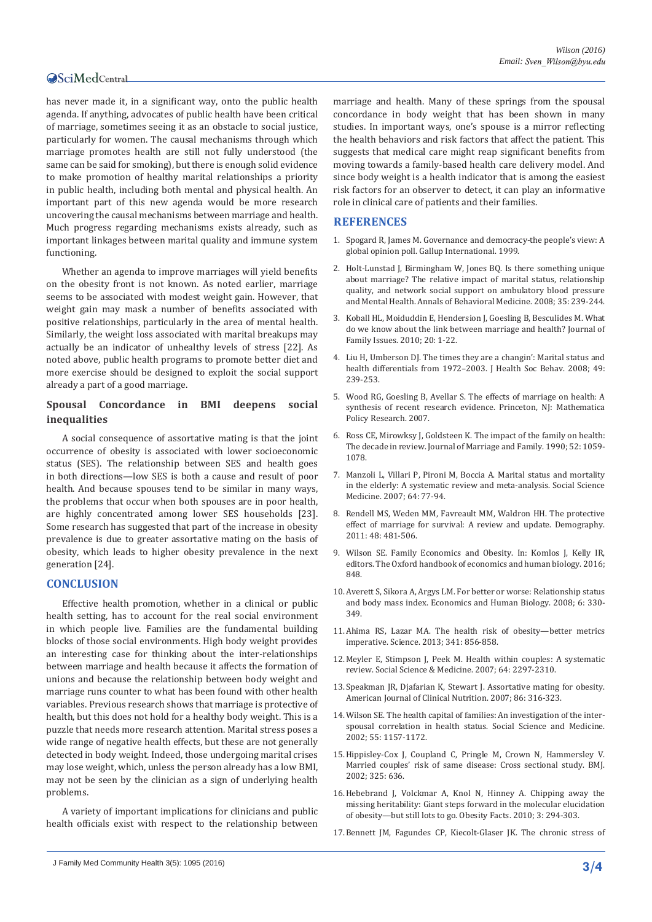# **OSciMedCentral**

has never made it, in a significant way, onto the public health agenda. If anything, advocates of public health have been critical of marriage, sometimes seeing it as an obstacle to social justice, particularly for women. The causal mechanisms through which marriage promotes health are still not fully understood (the same can be said for smoking), but there is enough solid evidence to make promotion of healthy marital relationships a priority in public health, including both mental and physical health. An important part of this new agenda would be more research uncovering the causal mechanisms between marriage and health. Much progress regarding mechanisms exists already, such as important linkages between marital quality and immune system functioning.

Whether an agenda to improve marriages will yield benefits on the obesity front is not known. As noted earlier, marriage seems to be associated with modest weight gain. However, that weight gain may mask a number of benefits associated with positive relationships, particularly in the area of mental health. Similarly, the weight loss associated with marital breakups may actually be an indicator of unhealthy levels of stress [22]. As noted above, public health programs to promote better diet and more exercise should be designed to exploit the social support already a part of a good marriage.

# **Spousal Concordance in BMI deepens social inequalities**

A social consequence of assortative mating is that the joint occurrence of obesity is associated with lower socioeconomic status (SES). The relationship between SES and health goes in both directions—low SES is both a cause and result of poor health. And because spouses tend to be similar in many ways, the problems that occur when both spouses are in poor health, are highly concentrated among lower SES households [23]. Some research has suggested that part of the increase in obesity prevalence is due to greater assortative mating on the basis of obesity, which leads to higher obesity prevalence in the next generation [24].

#### **CONCLUSION**

Effective health promotion, whether in a clinical or public health setting, has to account for the real social environment in which people live. Families are the fundamental building blocks of those social environments. High body weight provides an interesting case for thinking about the inter-relationships between marriage and health because it affects the formation of unions and because the relationship between body weight and marriage runs counter to what has been found with other health variables. Previous research shows that marriage is protective of health, but this does not hold for a healthy body weight. This is a puzzle that needs more research attention. Marital stress poses a wide range of negative health effects, but these are not generally detected in body weight. Indeed, those undergoing marital crises may lose weight, which, unless the person already has a low BMI, may not be seen by the clinician as a sign of underlying health problems.

A variety of important implications for clinicians and public health officials exist with respect to the relationship between

marriage and health. Many of these springs from the spousal concordance in body weight that has been shown in many studies. In important ways, one's spouse is a mirror reflecting the health behaviors and risk factors that affect the patient. This suggests that medical care might reap significant benefits from moving towards a family-based health care delivery model. And since body weight is a health indicator that is among the easiest risk factors for an observer to detect, it can play an informative role in clinical care of patients and their families.

# **REFERENCES**

- 1. [Spogard R, James M. Governance and democracy-the people's view: A](http://www.peace.ca/gallupmillenniumsurvey.htm)  [global opinion poll. Gallup International. 1999.](http://www.peace.ca/gallupmillenniumsurvey.htm)
- 2. [Holt-Lunstad J, Birmingham W, Jones BQ. Is there something unique](https://www.ncbi.nlm.nih.gov/pubmed/18347896)  [about marriage? The relative impact of marital status, relationship](https://www.ncbi.nlm.nih.gov/pubmed/18347896)  [quality, and network social support on ambulatory blood pressure](https://www.ncbi.nlm.nih.gov/pubmed/18347896)  [and Mental Health. Annals of Behavioral Medicine. 2008; 35: 239-244.](https://www.ncbi.nlm.nih.gov/pubmed/18347896)
- 3. Koball HL, Moiduddin E, Hendersion J, Goesling B, Besculides M. What do we know about the link between marriage and health? Journal of Family Issues. 2010; 20: 1-22.
- 4. [Liu H, Umberson DJ. The times they are a changin': Marital status and](https://www.ncbi.nlm.nih.gov/pmc/articles/PMC3150568/)  health differentials from 1972-2003. J Health Soc Behav. 2008; 49: [239-253.](https://www.ncbi.nlm.nih.gov/pmc/articles/PMC3150568/)
- 5. [Wood RG, Goesling B, Avellar S. The effects of marriage on health: A](https://aspe.hhs.gov/sites/default/files/pdf/75106/report.pdf)  [synthesis of recent research evidence. Princeton, NJ: Mathematica](https://aspe.hhs.gov/sites/default/files/pdf/75106/report.pdf)  [Policy Research. 2007.](https://aspe.hhs.gov/sites/default/files/pdf/75106/report.pdf)
- 6. [Ross CE, Mirowksy J, Goldsteen K. The impact of the family on health:](https://www.jstor.org/stable/353319?seq=1#page_scan_tab_contents)  [The decade in review. Journal of Marriage and Family. 1990; 52: 1059-](https://www.jstor.org/stable/353319?seq=1#page_scan_tab_contents) [1078.](https://www.jstor.org/stable/353319?seq=1#page_scan_tab_contents)
- 7. [Manzoli L, Villari P, Pironi M, Boccia A. Marital status and mortality](https://www.ncbi.nlm.nih.gov/pubmed/17011690)  [in the elderly: A systematic review and meta-analysis. Social Science](https://www.ncbi.nlm.nih.gov/pubmed/17011690)  [Medicine. 2007; 64: 77-94.](https://www.ncbi.nlm.nih.gov/pubmed/17011690)
- 8. [Rendell MS, Weden MM, Favreault MM, Waldron HH. The protective](https://www.ncbi.nlm.nih.gov/pubmed/21526396)  [effect of marriage for survival: A review and update. Demography.](https://www.ncbi.nlm.nih.gov/pubmed/21526396)  [2011: 48: 481-506.](https://www.ncbi.nlm.nih.gov/pubmed/21526396)
- 9. [Wilson SE. Family Economics and Obesity. In: Komlos J, Kelly IR,](https://global.oup.com/academic/product/the-oxford-handbook-of-economics-and-human-biology-9780199389292?cc=in&lang=en&)  [editors. The Oxford handbook of economics and human biology. 2016;](https://global.oup.com/academic/product/the-oxford-handbook-of-economics-and-human-biology-9780199389292?cc=in&lang=en&)  [848.](https://global.oup.com/academic/product/the-oxford-handbook-of-economics-and-human-biology-9780199389292?cc=in&lang=en&)
- 10.[Averett S, Sikora A, Argys LM. For better or worse: Relationship status](https://www.ncbi.nlm.nih.gov/pubmed/18753018)  [and body mass index. Economics and Human Biology. 2008; 6: 330-](https://www.ncbi.nlm.nih.gov/pubmed/18753018) [349.](https://www.ncbi.nlm.nih.gov/pubmed/18753018)
- 11.[Ahima RS, Lazar MA. The health risk of obesity—better metrics](http://science.sciencemag.org/content/341/6148/856)  [imperative. Science. 2013; 341: 856-858.](http://science.sciencemag.org/content/341/6148/856)
- 12.[Meyler E, Stimpson J, Peek M. Health within couples: A systematic](https://www.ncbi.nlm.nih.gov/pubmed/17374552)  [review. Social Science & Medicine. 2007; 64: 2297-2310.](https://www.ncbi.nlm.nih.gov/pubmed/17374552)
- 13.[Speakman JR, Djafarian K, Stewart J. Assortative mating for obesity.](https://www.ncbi.nlm.nih.gov/pubmed/17684200)  [American Journal of Clinical Nutrition. 2007; 86: 316-323.](https://www.ncbi.nlm.nih.gov/pubmed/17684200)
- 14.[Wilson SE. The health capital of families: An investigation of the inter](http://www.sciencedirect.com/science/article/pii/S0277953601002532)[spousal correlation in health status. Social Science and Medicine.](http://www.sciencedirect.com/science/article/pii/S0277953601002532)  [2002; 55: 1157-1172.](http://www.sciencedirect.com/science/article/pii/S0277953601002532)
- 15.[Hippisley-Cox J, Coupland C, Pringle M, Crown N, Hammersley V.](http://www.bmj.com/content/325/7365/636.1)  [Married couples' risk of same disease: Cross sectional study.](http://www.bmj.com/content/325/7365/636.1) BMJ. 2002; [325: 636.](http://www.bmj.com/content/325/7365/636.1)
- 16.[Hebebrand J, Volckmar A, Knol N, Hinney A. Chipping away the](https://www.ncbi.nlm.nih.gov/pubmed/20975295)  [missing heritability: Giant steps forward in the molecular elucidation](https://www.ncbi.nlm.nih.gov/pubmed/20975295)  [of obesity—but still lots to go. Obesity Facts. 2010; 3: 294-303.](https://www.ncbi.nlm.nih.gov/pubmed/20975295)
- 17.Bennett JM, Fagundes CP, Kiecolt-Glaser JK. The chronic stress of

J Family Med Community Health 3(5): 1095 (2016) **3/4**